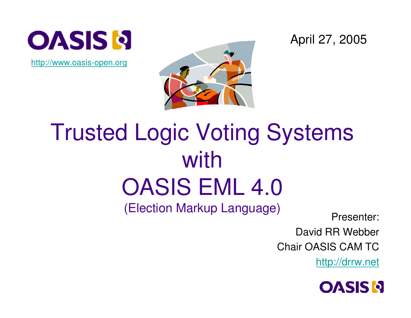

http://www.oasis-open.org



April 27, 2005

#### Trusted Logic Voting Systems with OASIS EML 4.0 (Election Markup Language)<br>
Presenter:

David RR Webber

Chair OASIS CAM TC

http://drrw.net

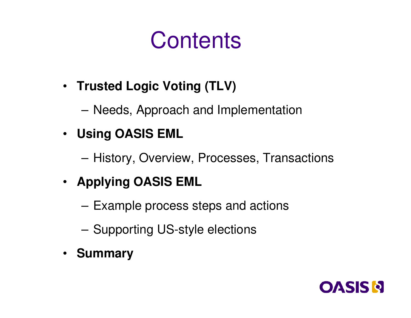#### **Contents**

- **Trusted Logic Voting (TLV)**
	- –Needs, Approach and Implementation
- **Using OASIS EML**
	- **Links of the Common** – History, Overview, Processes, Transactions
- **Applying OASIS EML**
	- and the state of the Example process steps and actions
	- **Links of the Common**  $-$  Supporting US-style elections
- **Summary**

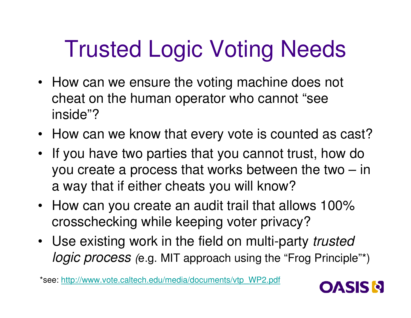# Trusted Logic Voting Needs

- How can we ensure the voting machine does not cheat on the human operator who cannot "see inside"?
- How can we know that every vote is counted as cast?
- If you have two parties that you cannot trust, how do you create <sup>a</sup> process that works between the two – in <sup>a</sup> way that if either cheats you will know?
- How can you create an audit trail that allows 100% crosschecking while keeping voter privacy?
- Use existing work in the field on multi-party *trusted logic process (*e.g. MIT approach using the "Frog Principle"\*)

\*see: http://www.vote.caltech.edu/media/documents/vtp\_WP2.pdf

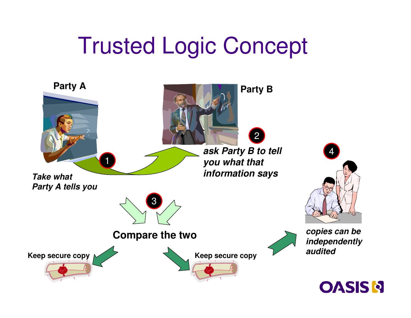#### Trusted Logic Concept

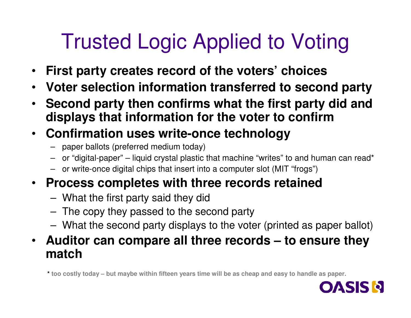#### Trusted Logic Applied to Voting

- $\bullet$ **First party creates record of the voters' choices**
- $\bullet$ **Voter selection information transferred to second party**
- • **Second party then confirms what the first party did and displays that information for the voter to confirm**

#### • **Confirmation uses write-once technology**

- paper ballots (preferred medium today)
- or "digital-paper" liquid crystal plastic that machine "writes" to and human can read\*
- or write-once digital chips that insert into <sup>a</sup> computer slot (MIT "frogs")

#### • **Process completes with three records retained**

- –What the first party said they did
- – $-$  The copy they passed to the second party
- **Links of the Company** What the second party displays to the voter (printed as paper ballot)

#### • **Auditor can compare all three records – to ensure they match**

too costly today – but maybe within fifteen years time will be as cheap and easy to handle as paper. \*

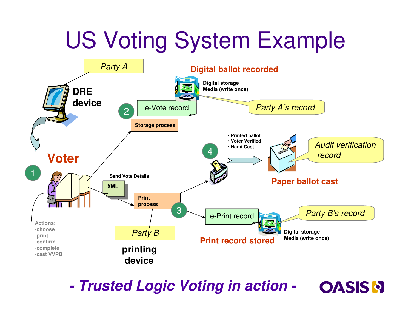## US Voting System Example



*-Trusted Logic Voting in action -*

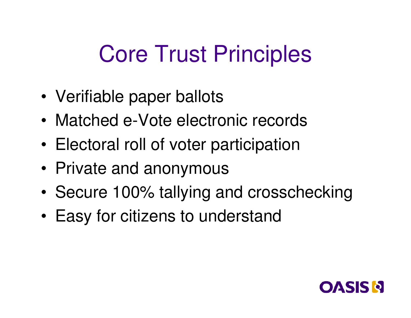#### Core Trust Principles

- •Verifiable paper ballots
- Matched e-Vote electronic records
- •Electoral roll of voter participation
- •Private and anonymous
- Secure 100% tallying and crosschecking
- •Easy for citizens to understand

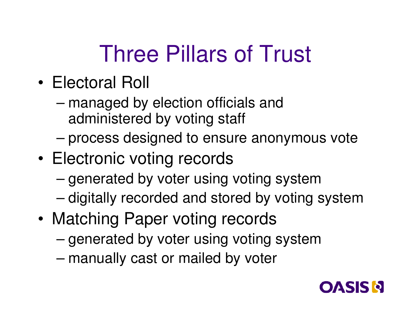## Three Pillars of Trust

- Electoral Roll
	- – managed by election officials and administered by voting staff
	- –process designed to ensure anonymous vote
- •• Electronic voting records
	- –– generated by voter using voting system
	- –– digitally recorded and stored by voting system
- •• Matching Paper voting records
	- –– generated by voter using voting system
	- –manually cast or mailed by voter

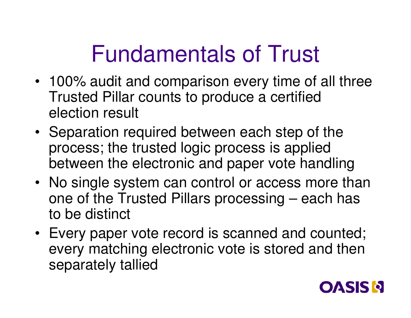## Fundamentals of Trust

- 100% audit and comparison every time of all three Trusted Pillar counts to produce <sup>a</sup> certified election result
- Separation required between each step of the process; the trusted logic process is applied between the electronic and paper vote handling
- No single system can control or access more than one of the Trusted Pillars processing – each has to be distinct
- Every paper vote record is scanned and counted; every matching electronic vote is stored and then separately tallied

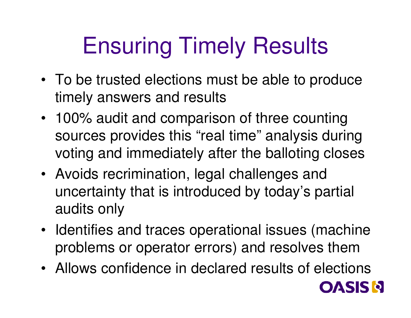# Ensuring Timely Results

- To be trusted elections must be able to produce timely answers and results
- 100% audit and comparison of three counting sources provides this "real time" analysis during voting and immediately after the balloting closes
- Avoids recrimination, legal challenges and uncertainty that is introduced by today's partial audits only
- Identifies and traces operational issues (machine problems or operator errors) and resolves them
- Allows confidence in declared results of elections

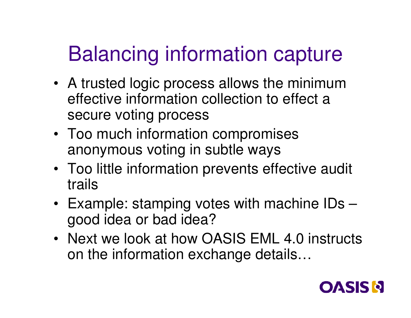#### Balancing information capture

- A trusted logic process allows the minimum effective information collection to effect a secure voting process
- Too much information compromises anonymous voting in subtle ways
- Too little information prevents effective audit trails
- Example: stamping votes with machine IDs good idea or bad idea?
- Next we look at how OASIS EML 4.0 instructs on the information exchange details…

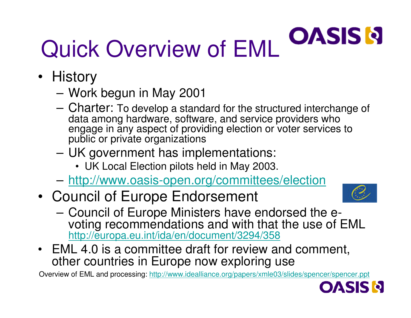#### **OASIS N** Quick Overview of EML

- History
	- Work begun in May 2001
	- Charter: To develop a standard for the structured interchange of data among hardware, software, and service providers who engage in any aspect of providing election or voter services to public or private organizations
	- UK government has implementations:
		- UK Local Election pilots held in May 2003.
	- <u>http://www.oasis-open.org/committees/election</u>
- Council of Europe Endorsement



- Council of Europe Ministers have endorsed the evoting recommendations and with that the use of EML <u>http://europa.eu.int/ida/en/document/3294/358</u>
- EML 4.0 is a committee draft for review and comment, other countries in Europe now exploring use

Overview of EML and processing: http://www.idealliance.org/papers/xmle03/slides/spencer/spencer.ppt

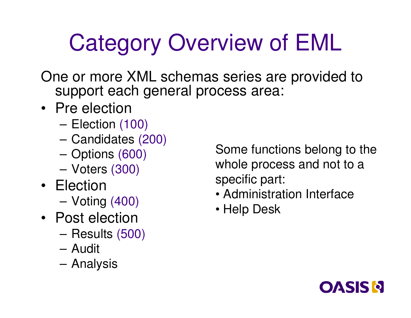#### Categor y Overview of EML

One or more XML schemas series are provided to support each general process area:

- Pre election
	- Election (100)
	- Candidates (200)
	- Options (600)
	- Voters (300)
- Election
	- Voting (400)
- Post election
	- Results (500)
	- –Audit
	- Analysis

Some functions belong to the whole process and not to a specific part:

- Administration Interface
- Help Desk

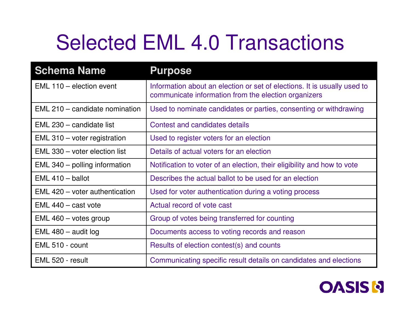#### Selected EML 4.0 Transactions

| <b>Schema Name</b>                    | <b>Purpose</b>                                                                                                                   |
|---------------------------------------|----------------------------------------------------------------------------------------------------------------------------------|
| EML 110 - election event              | Information about an election or set of elections. It is usually used to<br>communicate information from the election organizers |
| EML 210 – candidate nomination        | Used to nominate candidates or parties, consenting or withdrawing                                                                |
| EML 230 – candidate list              | Contest and candidates details                                                                                                   |
| $EML 310 - \text{voter registration}$ | Used to register voters for an election                                                                                          |
| EML 330 – voter election list         | Details of actual voters for an election                                                                                         |
| $EML 340 -$ polling information       | Notification to voter of an election, their eligibility and how to vote                                                          |
| $EML$ 410 – ballot                    | Describes the actual ballot to be used for an election                                                                           |
| EML 420 – voter authentication        | Used for voter authentication during a voting process                                                                            |
| $EML$ 440 – cast vote                 | Actual record of vote cast                                                                                                       |
| EML 460 - votes group                 | Group of votes being transferred for counting                                                                                    |
| $EML$ 480 – audit log                 | Documents access to voting records and reason                                                                                    |
| EML 510 - count                       | Results of election contest(s) and counts                                                                                        |
| EML 520 - result                      | Communicating specific result details on candidates and elections                                                                |

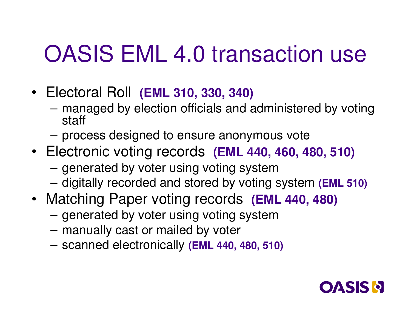#### OASIS EML 4.0 transaction use

- Electoral Roll **(EML 310, 330, 340)**
	- and the state of the managed by election officials and administered by voting staff
	- and the state of the process designed to ensure anonymous vote
- Electronic voting records **(EML 440, 460, 480, 510)**
	- – $-$  generated by voter using voting system
	- **Links of the Common** digitally recorded and stored by voting system **(EML 510)**
- Matching Paper voting records **(EML 440, 480)**
	- – $-$  generated by voter using voting system
	- and the state of the manually cast or mailed by voter
	- **Links of the Common** scanned electronically **(EML 440, 480, 510)**

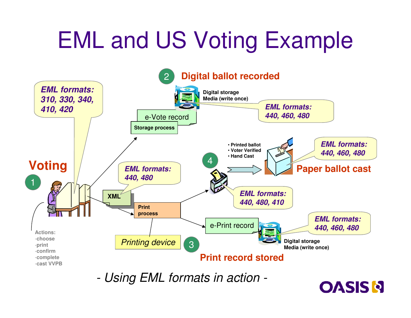## EML and US Voting Example



*-Using EML formats in action -*

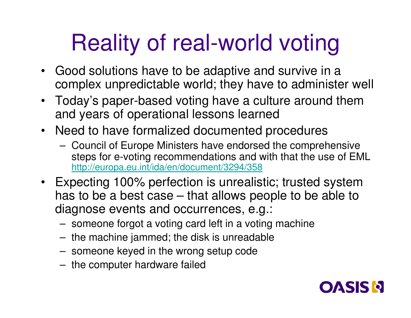## Reality of real-world voting

- Good solutions have to be adaptive and survive in <sup>a</sup> complex unpredictable world; they have to administer well
- Today's paper-based voting have <sup>a</sup> culture around them and years of operational lessons learned
- Need to have formalized documented procedures
	- – Council of Europe Ministers have endorsed the comprehensive steps for e-voting recommendations and with that the use of EML http://europa.eu.int/ida/en/document/3294/358
- Expecting 100% perfection is unrealistic; trusted system has to be <sup>a</sup> best case – that allows people to be able to diagnose events and occurrences, e.g.:
	- **Links of the Company**  $-$  someone forgot a voting card left in a voting machine
	- – $-$  the machine jammed; the disk is unreadable
	- **Links of the Company** someone keyed in the wrong setup code
	- **Links of the Company**  $-$  the computer hardware failed

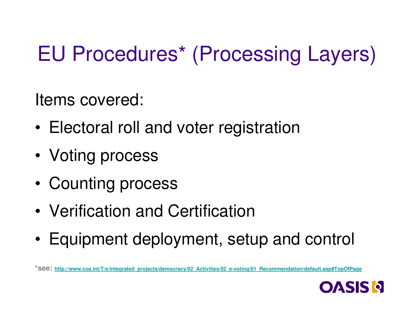#### EU Procedures\* (Processing Layers)

Items covered:

- •Electoral roll and voter registration
- •Voting process
- •Counting process
- Verification and Certification
- •Equipment deployment, setup and control

**\*see: http://www.coe.int/T/e/integrated\_projects/democracy/02\_Activities/02\_e-voting/01\_Recommendation/default.asp#TopOfPage**

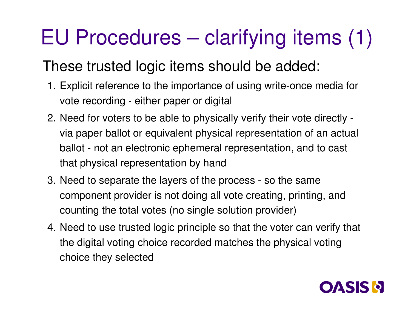#### EU Procedures – clarifying items (1)

#### These trusted logic items should be added:

- 1. Explicit reference to the importance of using write-once media for vote recording - either paper or digital
- 2. Need for voters to be able to physically verify their vote directly via paper ballot or equivalent physical representation of an actual ballot - not an electronic ephemeral representation, and to cast that physical representation by hand
- 3. Need to separate the layers of the process so the same component provider is not doing all vote creating, printing, and counting the total votes (no single solution provider)
- 4. Need to use trusted logic principle so that the voter can verify that the digital voting choice recorded matches the physical voting choice they selected

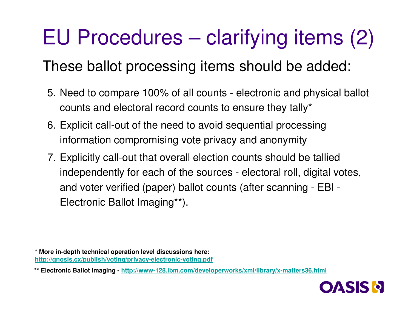#### EU Procedures – clarifying items (2)

#### These ballot processing items should be added:

- 5. Need to compare 100% of all counts electronic and physical ballot counts and electoral record counts to ensure they tally\*
- 6. Explicit call-out of the need to avoid sequential processing information compromising vote privacy and anonymity
- 7. Explicitly call-out that overall election counts should be tallied independently for each of the sources - electoral roll, digital votes, and voter verified (paper) ballot counts (after scanning - EBI - Electronic Ballot Imaging\*\*).

**\* More in-depth technical operation level discussions here: http://gnosis.cx/publish/voting/privacy-electronic-voting.pdf**

**\*\* Electronic Ballot Imaging - http://www-128.ibm.com/developerworks/xml/library/x-matters36.html**

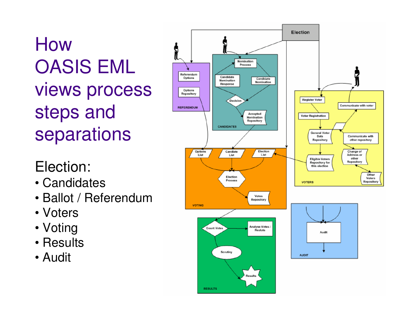#### How OASIS EML views process steps and separations

#### Election:

- Candidates
- Ballot / Referendum
- Voters
- Voting
- Results
- Audit

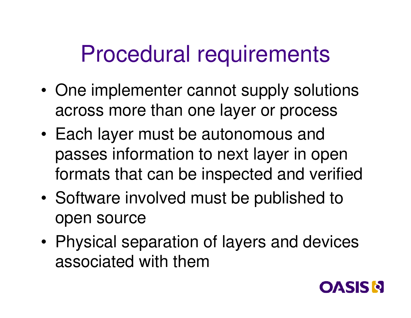#### Procedural requirements

- •• One implementer cannot supply solutions across more than one layer or process
- • Each layer must be autonomous and passes information to next layer in open formats that can be inspected and verified
- •• Software involved must be published to open source
- • Physical separation of layers and devices associated with them

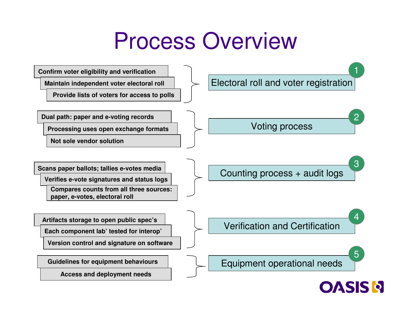#### Process Overview

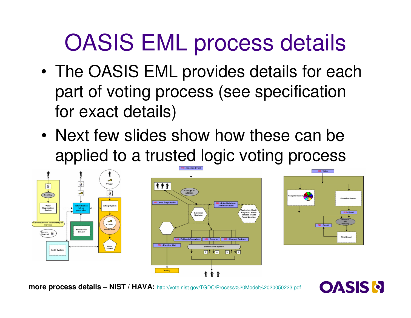## OASIS EML process details

- • The OASIS EML provides details for each part of voting process (see specification for exact details)
- Next few slides show how these can be applied to <sup>a</sup> trusted logic voting process







**more process details – NIST / HAVA:** http://vote.nist.gov/TGDC/Process%20Model%2020050223.pdf

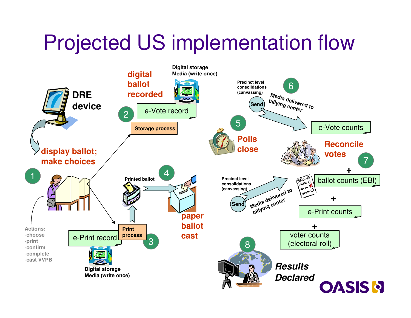#### Projected US implementation flow j

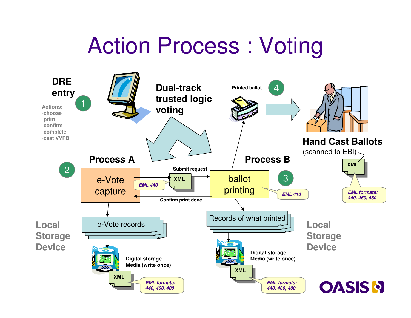#### Action Process : Voting

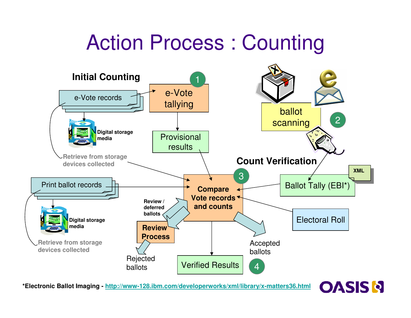#### Action Process : Counting



**\*Electronic Ballot Imaging - http://www-128.ibm.com/developerworks/xml/library/x-matters36.html**

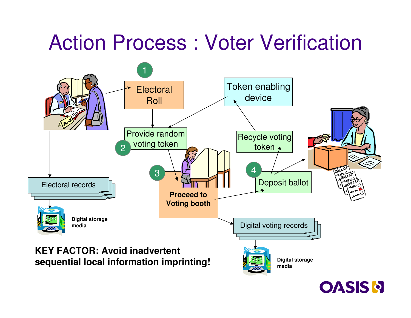#### Action Process : Voter Verification



**OASIS N**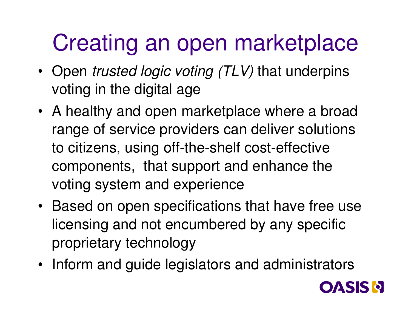## Creating an open marketplace

- Open *trusted logic voting (TLV)* that underpins voting in the digital age
- A healthy and open marketplace where <sup>a</sup> broad range of service providers can deliver solutions to citizens, using off-the-shelf cost-effective components, that support and enhance the voting system and experience
- Based on open specifications that have free use licensing and not encumbered by any specific proprietary technology
- Inform and guide legislators and administrators

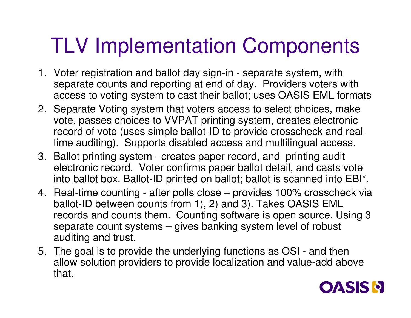#### **TLV Implementation Components**

- 1. Voter registration and ballot day sign-in separate system, with separate counts and reporting at end of day. Providers voters with access to voting system to cast their ballot; uses OASIS EML formats
- 2. Separate Voting system that voters access to select choices, make vote, passes choices to VVPAT printing system, creates electronic record of vote (uses simple ballot-ID to provide crosscheck and realtime auditing). Supports disabled access and multilingual access.
- 3. Ballot printing system creates paper record, and printing audit electronic record. Voter confirms paper ballot detail, and casts vote into ballot box. Ballot-ID printed on ballot; ballot is scanned into EBI\*.
- 4. Real-time counting after polls close provides 100% crosscheck via ballot-ID between counts from 1), 2) and 3). Takes OASIS EML records and counts them. Counting software is open source. Using 3 separate count systems – gives banking system level of robust auditing and trust.
- 5. The goal is to provide the underlying functions as OSI and then allow solution providers to provide localization and value-add above t hat.

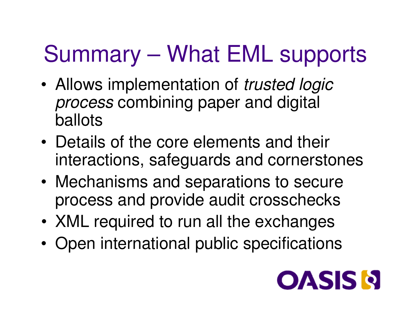## Summary – What EML supports

- • Allows implementation of *trusted logic process* combining paper and digital ballots
- Details of the core elements and their interactions, safeguards and cornerstones
- • Mechanisms and separations to secure process and provide audit crosschecks
- XML required to run all the exchanges
- •• Open international public specifications

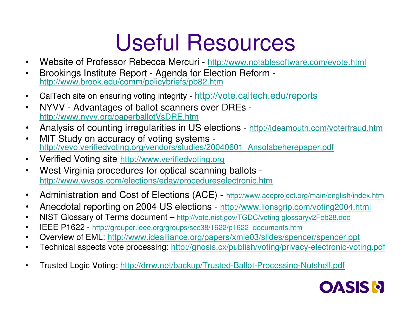## Useful Resources

- •• Website of Professor Rebecca Mercuri - http://www.notablesoftware.com/evote.html
- • Brookings Institute Report - Agenda for Election Reform http://www.brook.edu/comm/policybriefs/pb82.htm
- •• CalTech site on ensuring voting integrity - http://vote.caltech.edu/reports
- • NYVV - Advantages of ballot scanners over DREs http://www.nyvv.org/paperballotVsDRE.htm
- •Analysis of counting irregularities in US elections - http://ideamouth.com/voterfraud.htm
- • MIT Study on accuracy of voting systems http://vevo.verifiedvoting.org/vendors/studies/20040601\_Ansolabeherepaper.pdf
- •• Verified Voting site <u>http://www.verifiedvoting.org</u>
- • West Virginia procedures for optical scanning ballots http://www.wvsos.com/elections/eday/procedureselectronic.htm
- •• Administration and Cost of Elections (ACE) - http://www.aceproject.org/main/english/index.htm
- •Anecdotal reporting on 2004 US elections - http://www.lionsgrip.com/voting2004.html
- •• NIST Glossary of Terms document – http://vote.nist.gov/TGDC/voting glossaryv2Feb28.doc
- •• IEEE P1622 - <u>http://grouper.ieee.org/groups/scc38/1622/p1622\_documents.htm</u>
- •• Overview of EML: http://www.idealliance.org/papers/xmle03/slides/spencer/spencer.ppt
- •Technical aspects vote processing: http://gnosis.cx/publish/voting/privacy-electronic-voting.pdf
- •• Trusted Logic Voting: <u>http://drrw.net/backup/Trusted-Ballot-Processing-Nutshell.pdf</u>